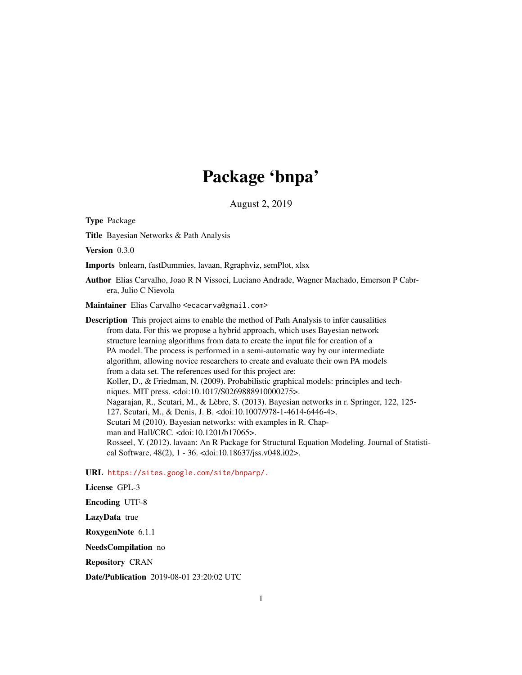# Package 'bnpa'

August 2, 2019

Type Package

Title Bayesian Networks & Path Analysis

Version 0.3.0

Imports bnlearn, fastDummies, lavaan, Rgraphviz, semPlot, xlsx

Author Elias Carvalho, Joao R N Vissoci, Luciano Andrade, Wagner Machado, Emerson P Cabrera, Julio C Nievola

Maintainer Elias Carvalho <ecacarva@gmail.com>

Description This project aims to enable the method of Path Analysis to infer causalities from data. For this we propose a hybrid approach, which uses Bayesian network structure learning algorithms from data to create the input file for creation of a PA model. The process is performed in a semi-automatic way by our intermediate algorithm, allowing novice researchers to create and evaluate their own PA models from a data set. The references used for this project are: Koller, D., & Friedman, N. (2009). Probabilistic graphical models: principles and techniques. MIT press. <doi:10.1017/S0269888910000275>. Nagarajan, R., Scutari, M., & Lèbre, S. (2013). Bayesian networks in r. Springer, 122, 125- 127. Scutari, M., & Denis, J. B. <doi:10.1007/978-1-4614-6446-4>. Scutari M (2010). Bayesian networks: with examples in R. Chapman and Hall/CRC. <doi:10.1201/b17065>. Rosseel, Y. (2012). lavaan: An R Package for Structural Equation Modeling. Journal of Statistical Software, 48(2), 1 - 36. <doi:10.18637/jss.v048.i02>.

URL <https://sites.google.com/site/bnparp/.>

License GPL-3 Encoding UTF-8 LazyData true RoxygenNote 6.1.1 NeedsCompilation no Repository CRAN

Date/Publication 2019-08-01 23:20:02 UTC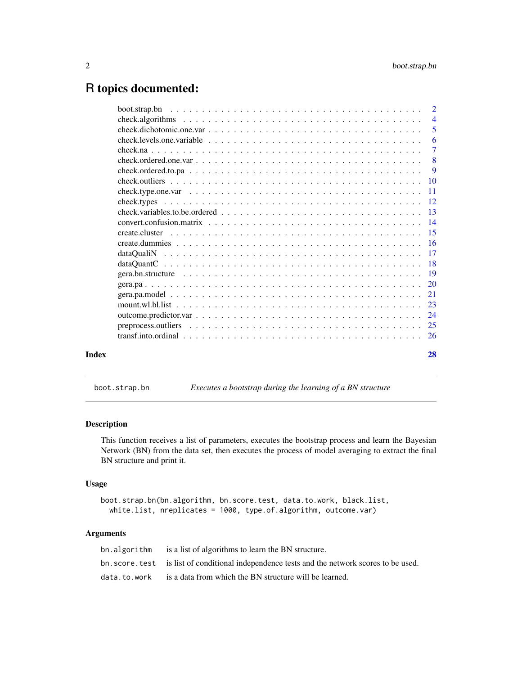# <span id="page-1-0"></span>R topics documented:

|       | $\overline{6}$            |
|-------|---------------------------|
|       |                           |
|       | $\overline{\phantom{0}}8$ |
|       |                           |
|       |                           |
|       |                           |
|       |                           |
|       |                           |
|       |                           |
|       |                           |
|       |                           |
|       |                           |
|       |                           |
|       |                           |
|       |                           |
|       |                           |
|       |                           |
|       |                           |
|       |                           |
|       |                           |
| Index | 28                        |
|       |                           |

boot.strap.bn *Executes a bootstrap during the learning of a BN structure*

# Description

This function receives a list of parameters, executes the bootstrap process and learn the Bayesian Network (BN) from the data set, then executes the process of model averaging to extract the final BN structure and print it.

# Usage

```
boot.strap.bn(bn.algorithm, bn.score.test, data.to.work, black.list,
 white.list, nreplicates = 1000, type.of.algorithm, outcome.var)
```
# Arguments

| bn.algorithm is a list of algorithms to learn the BN structure.                              |
|----------------------------------------------------------------------------------------------|
| bn. score. test is list of conditional independence tests and the network scores to be used. |
| $data.to.words$ is a data from which the BN structure will be learned.                       |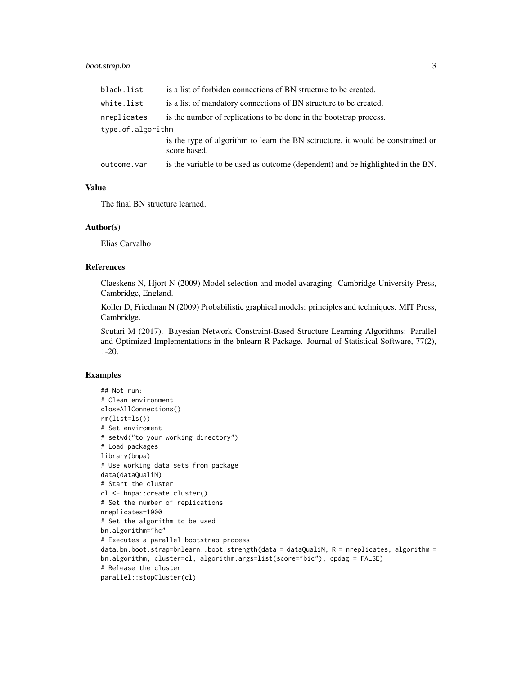# boot.strap.bn 3

| black.list        | is a list of forbiden connections of BN structure to be created.                                |
|-------------------|-------------------------------------------------------------------------------------------------|
| white.list        | is a list of mandatory connections of BN structure to be created.                               |
| nreplicates       | is the number of replications to be done in the bootstrap process.                              |
| type.of.algorithm |                                                                                                 |
|                   | is the type of algorithm to learn the BN sctructure, it would be constrained or<br>score based. |
| outcome.var       | is the variable to be used as outcome (dependent) and be highlighted in the BN.                 |

# Value

The final BN structure learned.

#### Author(s)

Elias Carvalho

# References

Claeskens N, Hjort N (2009) Model selection and model avaraging. Cambridge University Press, Cambridge, England.

Koller D, Friedman N (2009) Probabilistic graphical models: principles and techniques. MIT Press, Cambridge.

Scutari M (2017). Bayesian Network Constraint-Based Structure Learning Algorithms: Parallel and Optimized Implementations in the bnlearn R Package. Journal of Statistical Software, 77(2), 1-20.

```
## Not run:
# Clean environment
closeAllConnections()
rm(list=ls())
# Set enviroment
# setwd("to your working directory")
# Load packages
library(bnpa)
# Use working data sets from package
data(dataQualiN)
# Start the cluster
cl <- bnpa::create.cluster()
# Set the number of replications
nreplicates=1000
# Set the algorithm to be used
bn.algorithm="hc"
# Executes a parallel bootstrap process
data.bn.boot.strap=bnlearn::boot.strength(data = dataQualiN, R = nreplicates, algorithm =
bn.algorithm, cluster=cl, algorithm.args=list(score="bic"), cpdag = FALSE)
# Release the cluster
parallel::stopCluster(cl)
```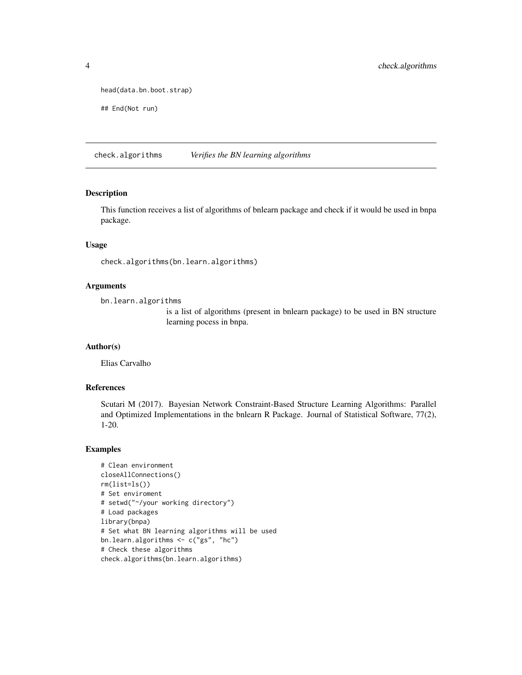```
head(data.bn.boot.strap)
```

```
## End(Not run)
```
check.algorithms *Verifies the BN learning algorithms*

#### Description

This function receives a list of algorithms of bnlearn package and check if it would be used in bnpa package.

#### Usage

check.algorithms(bn.learn.algorithms)

# Arguments

bn.learn.algorithms

is a list of algorithms (present in bnlearn package) to be used in BN structure learning pocess in bnpa.

# Author(s)

Elias Carvalho

# References

Scutari M (2017). Bayesian Network Constraint-Based Structure Learning Algorithms: Parallel and Optimized Implementations in the bnlearn R Package. Journal of Statistical Software, 77(2), 1-20.

```
# Clean environment
closeAllConnections()
rm(list=ls())
# Set enviroment
# setwd("~/your working directory")
# Load packages
library(bnpa)
# Set what BN learning algorithms will be used
bn.learn.algorithms <- c("gs", "hc")
# Check these algorithms
check.algorithms(bn.learn.algorithms)
```
<span id="page-3-0"></span>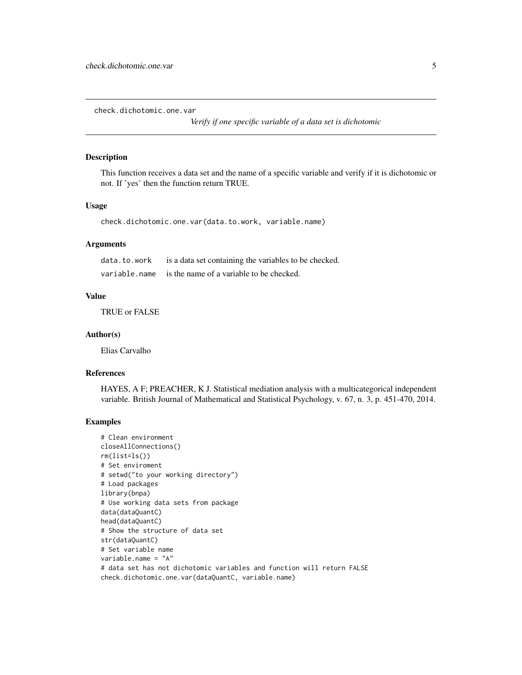<span id="page-4-0"></span>check.dichotomic.one.var

*Verify if one specific variable of a data set is dichotomic*

#### Description

This function receives a data set and the name of a specific variable and verify if it is dichotomic or not. If 'yes' then the function return TRUE.

# Usage

check.dichotomic.one.var(data.to.work, variable.name)

# Arguments

| data.to.work | is a data set containing the variables to be checked.  |
|--------------|--------------------------------------------------------|
|              | variable.name is the name of a variable to be checked. |

# Value

TRUE or FALSE

#### Author(s)

Elias Carvalho

#### References

HAYES, A F; PREACHER, K J. Statistical mediation analysis with a multicategorical independent variable. British Journal of Mathematical and Statistical Psychology, v. 67, n. 3, p. 451-470, 2014.

```
# Clean environment
closeAllConnections()
rm(list=ls())
# Set enviroment
# setwd("to your working directory")
# Load packages
library(bnpa)
# Use working data sets from package
data(dataQuantC)
head(dataQuantC)
# Show the structure of data set
str(dataQuantC)
# Set variable name
variable.name = "A"
# data set has not dichotomic variables and function will return FALSE
check.dichotomic.one.var(dataQuantC, variable.name)
```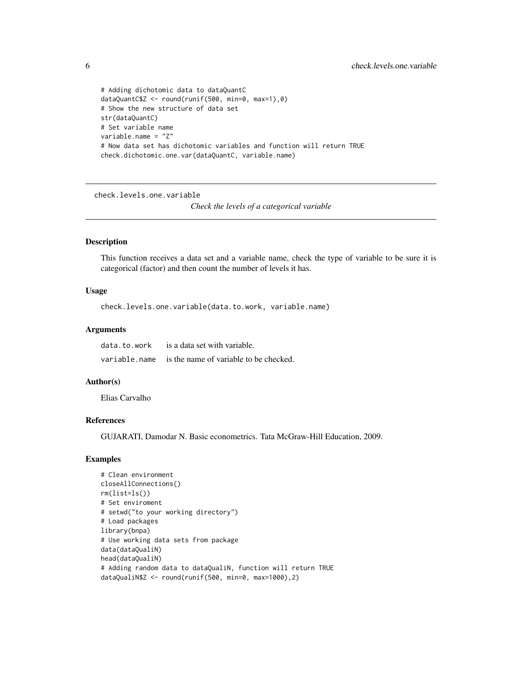```
# Adding dichotomic data to dataQuantC
dataQuantC$Z <- round(runif(500, min=0, max=1),0)
# Show the new structure of data set
str(dataQuantC)
# Set variable name
variable.name = "Z"
# Now data set has dichotomic variables and function will return TRUE
check.dichotomic.one.var(dataQuantC, variable.name)
```
check.levels.one.variable

*Check the levels of a categorical variable*

### Description

This function receives a data set and a variable name, check the type of variable to be sure it is categorical (factor) and then count the number of levels it has.

#### Usage

```
check.levels.one.variable(data.to.work, variable.name)
```
#### Arguments

| data.to.work | is a data set with variable.                         |
|--------------|------------------------------------------------------|
|              | variable.name is the name of variable to be checked. |

#### Author(s)

Elias Carvalho

#### References

GUJARATI, Damodar N. Basic econometrics. Tata McGraw-Hill Education, 2009.

```
# Clean environment
closeAllConnections()
rm(list=ls())
# Set enviroment
# setwd("to your working directory")
# Load packages
library(bnpa)
# Use working data sets from package
data(dataQualiN)
head(dataQualiN)
# Adding random data to dataQualiN, function will return TRUE
dataQualiN$Z <- round(runif(500, min=0, max=1000),2)
```
<span id="page-5-0"></span>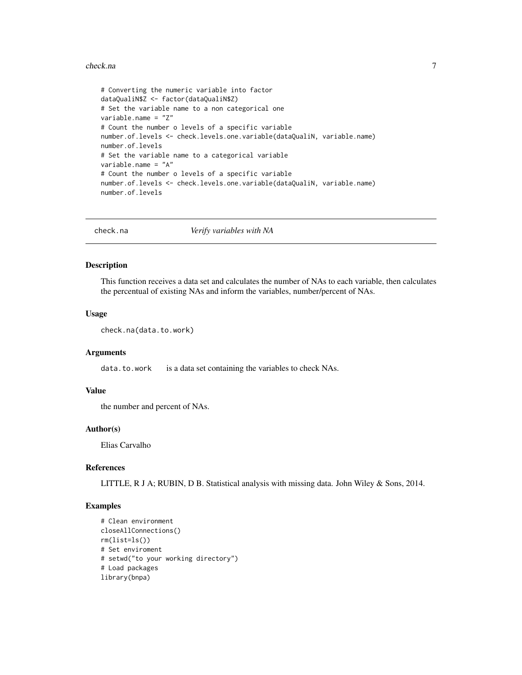#### <span id="page-6-0"></span>check.na 7

```
# Converting the numeric variable into factor
dataQualiN$Z <- factor(dataQualiN$Z)
# Set the variable name to a non categorical one
variable.name = "Z"
# Count the number o levels of a specific variable
number.of.levels <- check.levels.one.variable(dataQualiN, variable.name)
number.of.levels
# Set the variable name to a categorical variable
variable.name = "A"
# Count the number o levels of a specific variable
number.of.levels <- check.levels.one.variable(dataQualiN, variable.name)
number.of.levels
```
check.na *Verify variables with NA*

#### Description

This function receives a data set and calculates the number of NAs to each variable, then calculates the percentual of existing NAs and inform the variables, number/percent of NAs.

# Usage

```
check.na(data.to.work)
```
#### Arguments

data.to.work is a data set containing the variables to check NAs.

#### Value

the number and percent of NAs.

#### Author(s)

Elias Carvalho

#### References

LITTLE, R J A; RUBIN, D B. Statistical analysis with missing data. John Wiley & Sons, 2014.

```
# Clean environment
closeAllConnections()
rm(list=ls())
# Set enviroment
# setwd("to your working directory")
# Load packages
library(bnpa)
```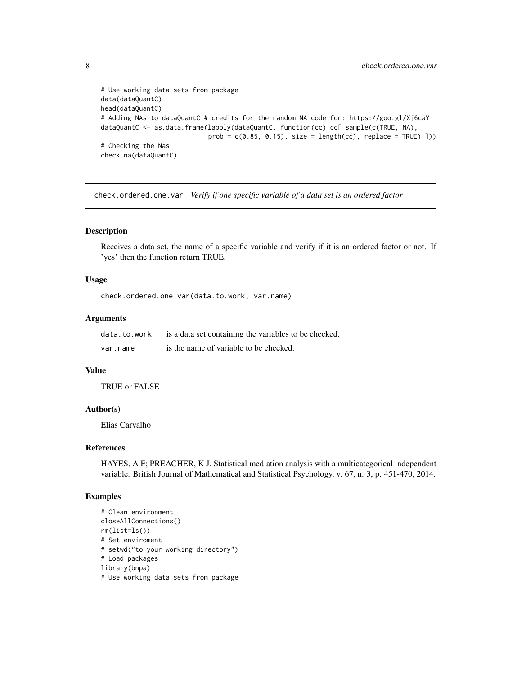```
# Use working data sets from package
data(dataQuantC)
head(dataQuantC)
# Adding NAs to dataQuantC # credits for the random NA code for: https://goo.gl/Xj6caY
dataQuantC <- as.data.frame(lapply(dataQuantC, function(cc) cc[ sample(c(TRUE, NA),
                            prob = c(0.85, 0.15), size = length(cc), replace = TRUE)]))
# Checking the Nas
check.na(dataQuantC)
```
check.ordered.one.var *Verify if one specific variable of a data set is an ordered factor*

#### Description

Receives a data set, the name of a specific variable and verify if it is an ordered factor or not. If 'yes' then the function return TRUE.

#### Usage

check.ordered.one.var(data.to.work, var.name)

# Arguments

| data.to.work | is a data set containing the variables to be checked. |
|--------------|-------------------------------------------------------|
| var.name     | is the name of variable to be checked.                |

#### Value

TRUE or FALSE

#### Author(s)

Elias Carvalho

#### References

HAYES, A F; PREACHER, K J. Statistical mediation analysis with a multicategorical independent variable. British Journal of Mathematical and Statistical Psychology, v. 67, n. 3, p. 451-470, 2014.

```
# Clean environment
closeAllConnections()
rm(list=ls())
# Set enviroment
# setwd("to your working directory")
# Load packages
library(bnpa)
# Use working data sets from package
```
<span id="page-7-0"></span>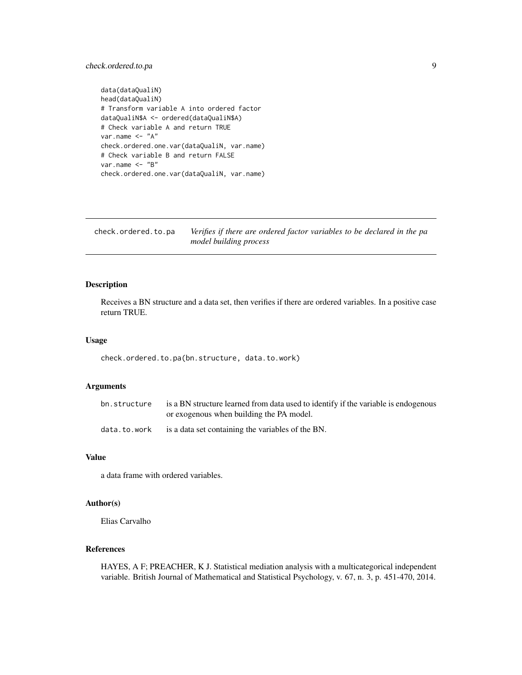# <span id="page-8-0"></span>check.ordered.to.pa 9

```
data(dataQualiN)
head(dataQualiN)
# Transform variable A into ordered factor
dataQualiN$A <- ordered(dataQualiN$A)
# Check variable A and return TRUE
var.name <- "A"
check.ordered.one.var(dataQualiN, var.name)
# Check variable B and return FALSE
var.name <- "B"
check.ordered.one.var(dataQualiN, var.name)
```

| check.ordered.to.pa | Verifies if there are ordered factor variables to be declared in the pa |
|---------------------|-------------------------------------------------------------------------|
|                     | model building process                                                  |

# Description

Receives a BN structure and a data set, then verifies if there are ordered variables. In a positive case return TRUE.

#### Usage

check.ordered.to.pa(bn.structure, data.to.work)

# Arguments

| bn.structure | is a BN structure learned from data used to identify if the variable is endogenous |
|--------------|------------------------------------------------------------------------------------|
|              | or exogenous when building the PA model.                                           |
| data.to.work | is a data set containing the variables of the BN.                                  |

# Value

a data frame with ordered variables.

#### Author(s)

Elias Carvalho

# References

HAYES, A F; PREACHER, K J. Statistical mediation analysis with a multicategorical independent variable. British Journal of Mathematical and Statistical Psychology, v. 67, n. 3, p. 451-470, 2014.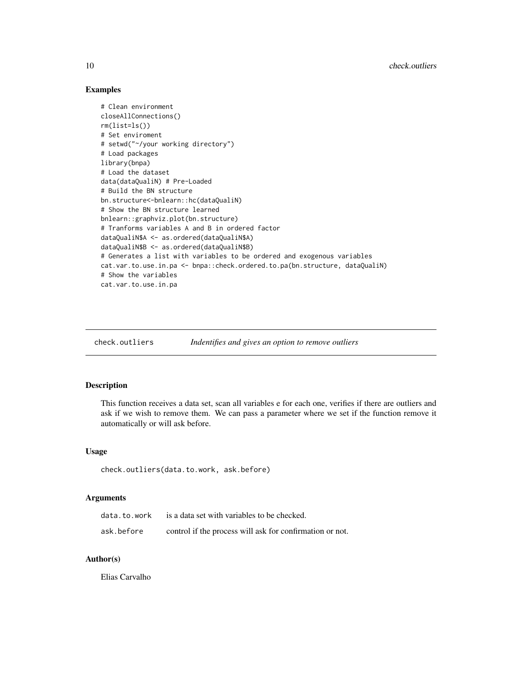# Examples

```
# Clean environment
closeAllConnections()
rm(list=ls())
# Set enviroment
# setwd("~/your working directory")
# Load packages
library(bnpa)
# Load the dataset
data(dataQualiN) # Pre-Loaded
# Build the BN structure
bn.structure<-bnlearn::hc(dataQualiN)
# Show the BN structure learned
bnlearn::graphviz.plot(bn.structure)
# Tranforms variables A and B in ordered factor
dataQualiN$A <- as.ordered(dataQualiN$A)
dataQualiN$B <- as.ordered(dataQualiN$B)
# Generates a list with variables to be ordered and exogenous variables
cat.var.to.use.in.pa <- bnpa::check.ordered.to.pa(bn.structure, dataQualiN)
# Show the variables
cat.var.to.use.in.pa
```
check.outliers *Indentifies and gives an option to remove outliers*

# Description

This function receives a data set, scan all variables e for each one, verifies if there are outliers and ask if we wish to remove them. We can pass a parameter where we set if the function remove it automatically or will ask before.

#### Usage

```
check.outliers(data.to.work, ask.before)
```
# **Arguments**

| data.to.work | is a data set with variables to be checked.              |
|--------------|----------------------------------------------------------|
| ask.before   | control if the process will ask for confirmation or not. |

# Author(s)

Elias Carvalho

<span id="page-9-0"></span>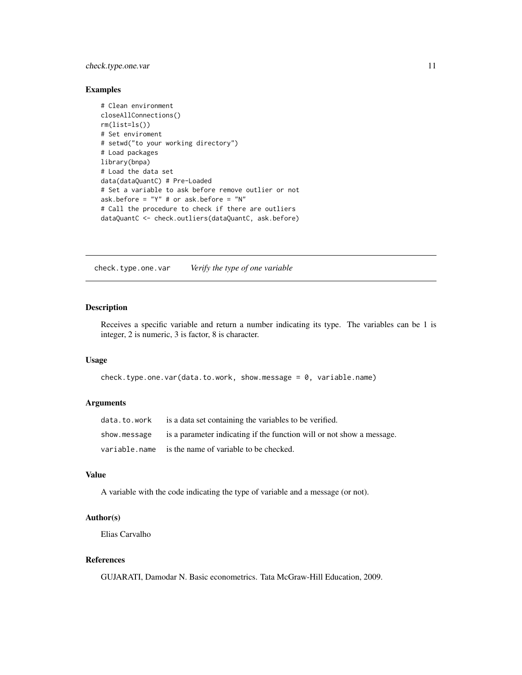# <span id="page-10-0"></span>check.type.one.var 11

#### Examples

```
# Clean environment
closeAllConnections()
rm(list=ls())
# Set enviroment
# setwd("to your working directory")
# Load packages
library(bnpa)
# Load the data set
data(dataQuantC) # Pre-Loaded
# Set a variable to ask before remove outlier or not
ask.before = "Y" # or ask.before = "N"
# Call the procedure to check if there are outliers
dataQuantC <- check.outliers(dataQuantC, ask.before)
```
check.type.one.var *Verify the type of one variable*

#### Description

Receives a specific variable and return a number indicating its type. The variables can be 1 is integer, 2 is numeric, 3 is factor, 8 is character.

# Usage

```
check.type.one.var(data.to.work, show.message = 0, variable.name)
```
# Arguments

| $data.to.words$ is a data set containing the variables to be verified.             |
|------------------------------------------------------------------------------------|
| show message is a parameter indicating if the function will or not show a message. |
| variable.name is the name of variable to be checked.                               |

### Value

A variable with the code indicating the type of variable and a message (or not).

#### Author(s)

Elias Carvalho

#### References

GUJARATI, Damodar N. Basic econometrics. Tata McGraw-Hill Education, 2009.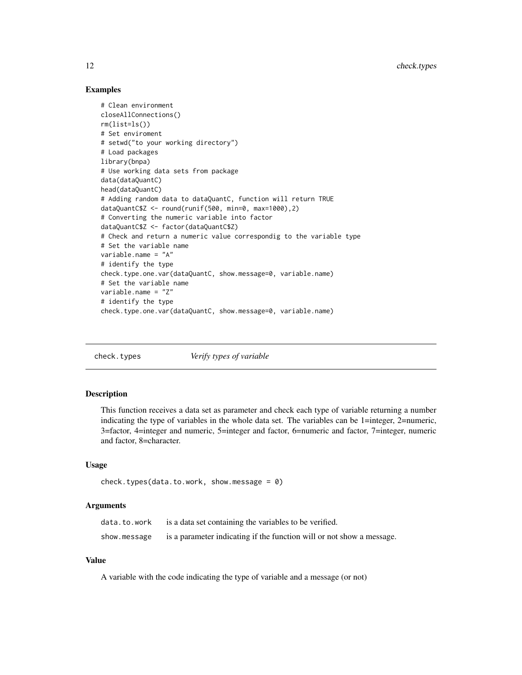# Examples

```
# Clean environment
closeAllConnections()
rm(list=ls())
# Set enviroment
# setwd("to your working directory")
# Load packages
library(bnpa)
# Use working data sets from package
data(dataQuantC)
head(dataQuantC)
# Adding random data to dataQuantC, function will return TRUE
dataQuantC$Z <- round(runif(500, min=0, max=1000),2)
# Converting the numeric variable into factor
dataQuantC$Z <- factor(dataQuantC$Z)
# Check and return a numeric value correspondig to the variable type
# Set the variable name
variable.name = "A"
# identify the type
check.type.one.var(dataQuantC, show.message=0, variable.name)
# Set the variable name
variable.name = "Z"
# identify the type
check.type.one.var(dataQuantC, show.message=0, variable.name)
```
check.types *Verify types of variable*

#### Description

This function receives a data set as parameter and check each type of variable returning a number indicating the type of variables in the whole data set. The variables can be 1=integer, 2=numeric, 3=factor, 4=integer and numeric, 5=integer and factor, 6=numeric and factor, 7=integer, numeric and factor, 8=character.

#### Usage

```
check.types(data.to.work, show.message = 0)
```
### Arguments

| data.to.work | is a data set containing the variables to be verified.                |
|--------------|-----------------------------------------------------------------------|
| show.message | is a parameter indicating if the function will or not show a message. |

# Value

A variable with the code indicating the type of variable and a message (or not)

<span id="page-11-0"></span>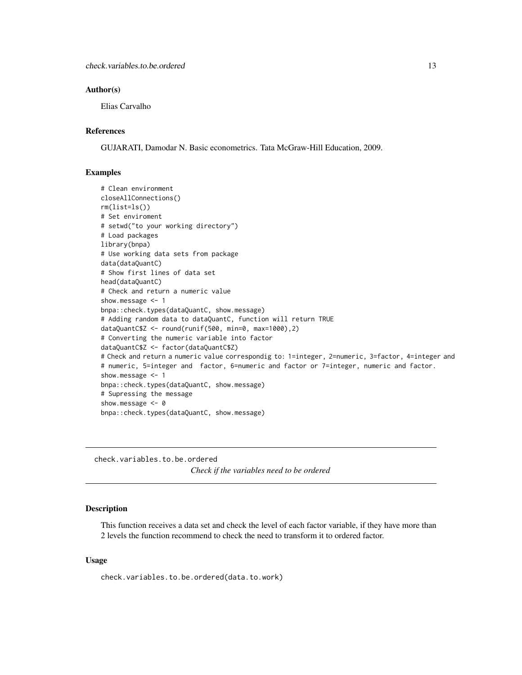#### <span id="page-12-0"></span>Author(s)

Elias Carvalho

# References

GUJARATI, Damodar N. Basic econometrics. Tata McGraw-Hill Education, 2009.

# Examples

```
# Clean environment
closeAllConnections()
rm(list=ls())
# Set enviroment
# setwd("to your working directory")
# Load packages
library(bnpa)
# Use working data sets from package
data(dataQuantC)
# Show first lines of data set
head(dataQuantC)
# Check and return a numeric value
show.message <- 1
bnpa::check.types(dataQuantC, show.message)
# Adding random data to dataQuantC, function will return TRUE
dataQuantC$Z <- round(runif(500, min=0, max=1000),2)
# Converting the numeric variable into factor
dataQuantC$Z <- factor(dataQuantC$Z)
# Check and return a numeric value correspondig to: 1=integer, 2=numeric, 3=factor, 4=integer and
# numeric, 5=integer and factor, 6=numeric and factor or 7=integer, numeric and factor.
show.message <- 1
bnpa::check.types(dataQuantC, show.message)
# Supressing the message
show.message <- 0
bnpa::check.types(dataQuantC, show.message)
```
check.variables.to.be.ordered

*Check if the variables need to be ordered*

#### Description

This function receives a data set and check the level of each factor variable, if they have more than 2 levels the function recommend to check the need to transform it to ordered factor.

#### Usage

check.variables.to.be.ordered(data.to.work)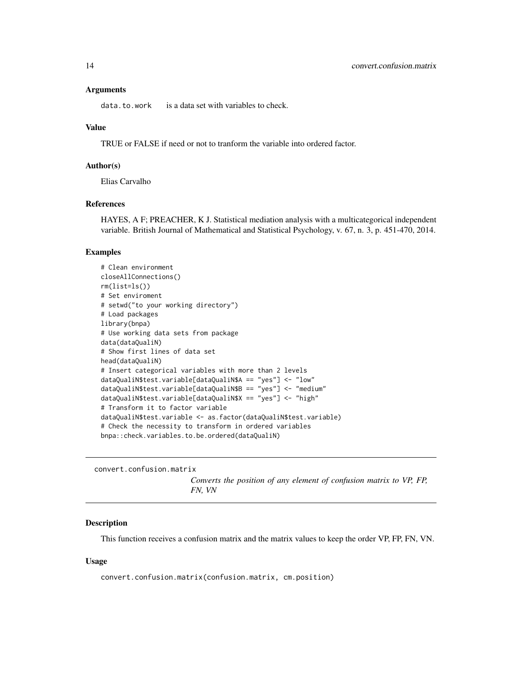#### <span id="page-13-0"></span>Arguments

data.to.work is a data set with variables to check.

# Value

TRUE or FALSE if need or not to tranform the variable into ordered factor.

#### Author(s)

Elias Carvalho

# References

HAYES, A F; PREACHER, K J. Statistical mediation analysis with a multicategorical independent variable. British Journal of Mathematical and Statistical Psychology, v. 67, n. 3, p. 451-470, 2014.

# Examples

```
# Clean environment
closeAllConnections()
rm(list=ls())
# Set enviroment
# setwd("to your working directory")
# Load packages
library(bnpa)
# Use working data sets from package
data(dataQualiN)
# Show first lines of data set
head(dataQualiN)
# Insert categorical variables with more than 2 levels
dataQualiN$test.variable[dataQualiN$A == "yes"] <- "low"
dataQualiN$test.variable[dataQualiN$B == "yes"] <- "medium"
dataQualiN$test.variable[dataQualiN$X == "yes"] <- "high"
# Transform it to factor variable
dataQualiN$test.variable <- as.factor(dataQualiN$test.variable)
# Check the necessity to transform in ordered variables
bnpa::check.variables.to.be.ordered(dataQualiN)
```
convert.confusion.matrix

*Converts the position of any element of confusion matrix to VP, FP, FN, VN*

#### Description

This function receives a confusion matrix and the matrix values to keep the order VP, FP, FN, VN.

#### Usage

convert.confusion.matrix(confusion.matrix, cm.position)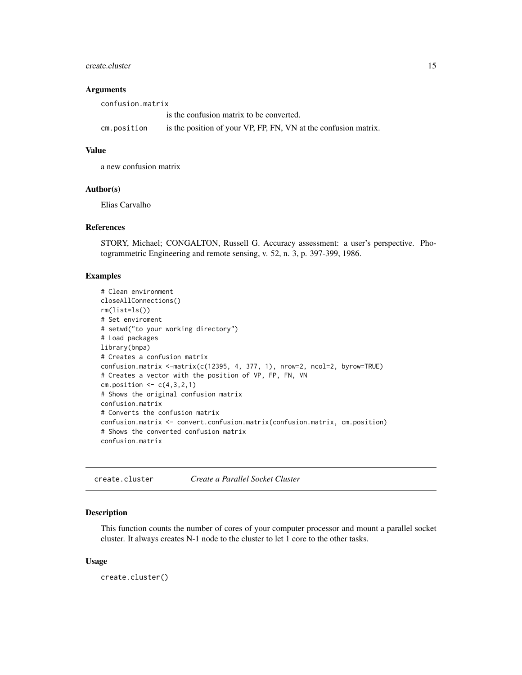#### <span id="page-14-0"></span>create.cluster 15

#### **Arguments**

| confusion.matrix |                                                                 |  |
|------------------|-----------------------------------------------------------------|--|
|                  | is the confusion matrix to be converted.                        |  |
| cm.position      | is the position of your VP, FP, FN, VN at the confusion matrix. |  |

# Value

a new confusion matrix

#### Author(s)

Elias Carvalho

#### References

STORY, Michael; CONGALTON, Russell G. Accuracy assessment: a user's perspective. Photogrammetric Engineering and remote sensing, v. 52, n. 3, p. 397-399, 1986.

# Examples

```
# Clean environment
closeAllConnections()
rm(list=ls())
# Set enviroment
# setwd("to your working directory")
# Load packages
library(bnpa)
# Creates a confusion matrix
confusion.matrix <-matrix(c(12395, 4, 377, 1), nrow=2, ncol=2, byrow=TRUE)
# Creates a vector with the position of VP, FP, FN, VN
cm.position \leq c(4,3,2,1)# Shows the original confusion matrix
confusion.matrix
# Converts the confusion matrix
confusion.matrix <- convert.confusion.matrix(confusion.matrix, cm.position)
# Shows the converted confusion matrix
confusion.matrix
```
create.cluster *Create a Parallel Socket Cluster*

#### Description

This function counts the number of cores of your computer processor and mount a parallel socket cluster. It always creates N-1 node to the cluster to let 1 core to the other tasks.

#### Usage

create.cluster()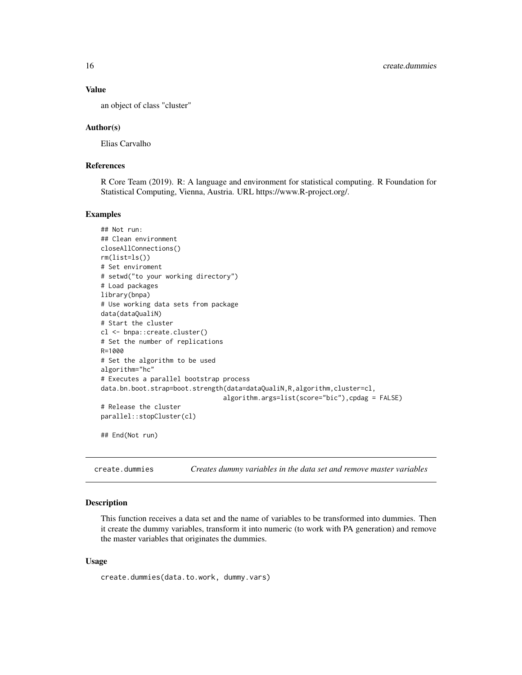# Value

an object of class "cluster"

#### Author(s)

Elias Carvalho

#### References

R Core Team (2019). R: A language and environment for statistical computing. R Foundation for Statistical Computing, Vienna, Austria. URL https://www.R-project.org/.

#### Examples

```
## Not run:
## Clean environment
closeAllConnections()
rm(list=ls())
# Set enviroment
# setwd("to your working directory")
# Load packages
library(bnpa)
# Use working data sets from package
data(dataQualiN)
# Start the cluster
cl <- bnpa::create.cluster()
# Set the number of replications
R=1000
# Set the algorithm to be used
algorithm="hc"
# Executes a parallel bootstrap process
data.bn.boot.strap=boot.strength(data=dataQualiN,R,algorithm,cluster=cl,
                                algorithm.args=list(score="bic"),cpdag = FALSE)
# Release the cluster
parallel::stopCluster(cl)
## End(Not run)
```
create.dummies *Creates dummy variables in the data set and remove master variables*

#### Description

This function receives a data set and the name of variables to be transformed into dummies. Then it create the dummy variables, transform it into numeric (to work with PA generation) and remove the master variables that originates the dummies.

#### Usage

```
create.dummies(data.to.work, dummy.vars)
```
<span id="page-15-0"></span>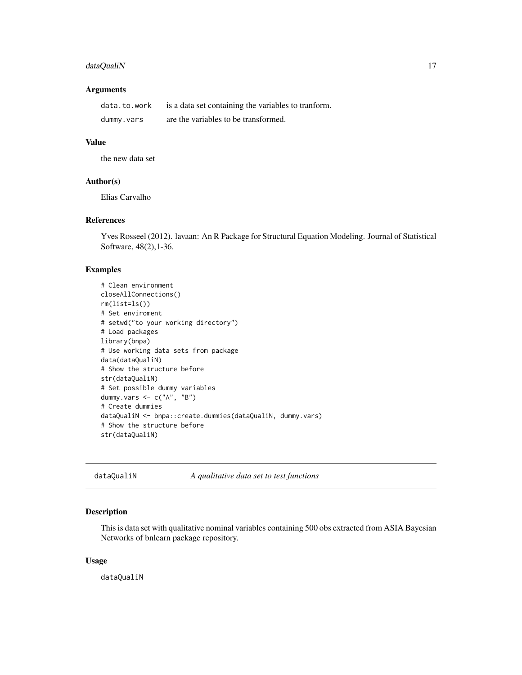# <span id="page-16-0"></span>dataQualiN 17

# Arguments

| data.to.work | is a data set containing the variables to transform. |
|--------------|------------------------------------------------------|
| dummy.vars   | are the variables to be transformed.                 |

# Value

the new data set

#### Author(s)

Elias Carvalho

# References

Yves Rosseel (2012). lavaan: An R Package for Structural Equation Modeling. Journal of Statistical Software, 48(2),1-36.

#### Examples

```
# Clean environment
closeAllConnections()
rm(list=ls())
# Set enviroment
# setwd("to your working directory")
# Load packages
library(bnpa)
# Use working data sets from package
data(dataQualiN)
# Show the structure before
str(dataQualiN)
# Set possible dummy variables
dummy.vars <- c("A", "B")
# Create dummies
dataQualiN <- bnpa::create.dummies(dataQualiN, dummy.vars)
# Show the structure before
str(dataQualiN)
```
dataQualiN *A qualitative data set to test functions*

# Description

This is data set with qualitative nominal variables containing 500 obs extracted from ASIA Bayesian Networks of bnlearn package repository.

#### Usage

dataQualiN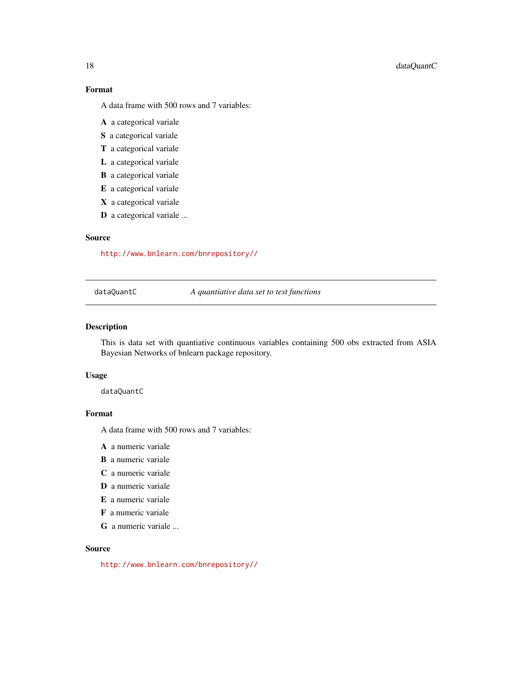# <span id="page-17-0"></span>18 dataQuantC

# Format

A data frame with 500 rows and 7 variables:

- A a categorical variale
- S a categorical variale
- T a categorical variale
- L a categorical variale
- B a categorical variale
- E a categorical variale
- X a categorical variale
- D a categorical variale ...

### Source

<http://www.bnlearn.com/bnrepository//>

dataQuantC *A quantiative data set to test functions*

# Description

This is data set with quantiative continuous variables containing 500 obs extracted from ASIA Bayesian Networks of bnlearn package repository.

#### Usage

dataQuantC

# Format

A data frame with 500 rows and 7 variables:

A a numeric variale

- B a numeric variale
- C a numeric variale
- D a numeric variale
- E a numeric variale
- F a numeric variale
- G a numeric variale ...

#### Source

<http://www.bnlearn.com/bnrepository//>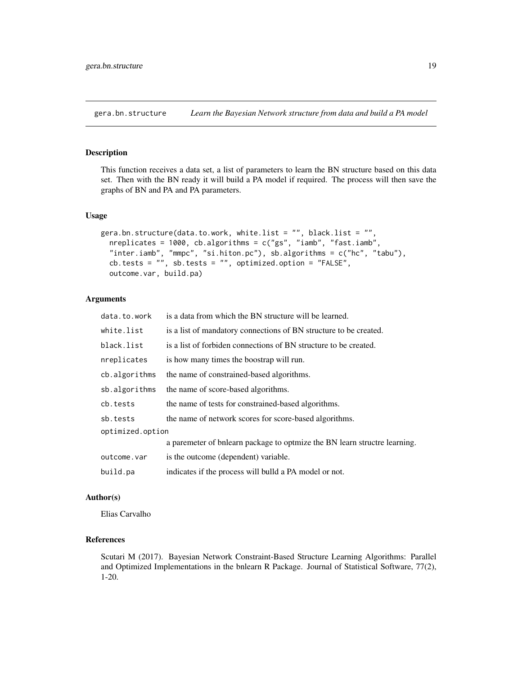<span id="page-18-0"></span>gera.bn.structure *Learn the Bayesian Network structure from data and build a PA model*

#### Description

This function receives a data set, a list of parameters to learn the BN structure based on this data set. Then with the BN ready it will build a PA model if required. The process will then save the graphs of BN and PA and PA parameters.

#### Usage

```
gera.bn.structure(data.to.work, white.list = "", black.list = "",
 nreplicates = 1000, cb.algorithms = c("gs", "iamb", "fast.iamb",
  "inter.iamb", "mmpc", "si.hiton.pc"), sb.algorithms = c("hc", "tabu"),
 cb.tests = "", sb.tests = "", optimized.option = "FALSE",
 outcome.var, build.pa)
```
#### Arguments

| data.to.work     | is a data from which the BN structure will be learned.                    |  |
|------------------|---------------------------------------------------------------------------|--|
| white.list       | is a list of mandatory connections of BN structure to be created.         |  |
| black.list       | is a list of forbiden connections of BN structure to be created.          |  |
| nreplicates      | is how many times the boostrap will run.                                  |  |
| cb.algorithms    | the name of constrained-based algorithms.                                 |  |
| sb.algorithms    | the name of score-based algorithms.                                       |  |
| cb.tests         | the name of tests for constrained-based algorithms.                       |  |
| sb.tests         | the name of network scores for score-based algorithms.                    |  |
| optimized.option |                                                                           |  |
|                  | a paremeter of bilearn package to optmize the BN learn structre learning. |  |
| outcome.var      | is the outcome (dependent) variable.                                      |  |
| build.pa         | indicates if the process will bulld a PA model or not.                    |  |

#### Author(s)

Elias Carvalho

#### References

Scutari M (2017). Bayesian Network Constraint-Based Structure Learning Algorithms: Parallel and Optimized Implementations in the bnlearn R Package. Journal of Statistical Software, 77(2), 1-20.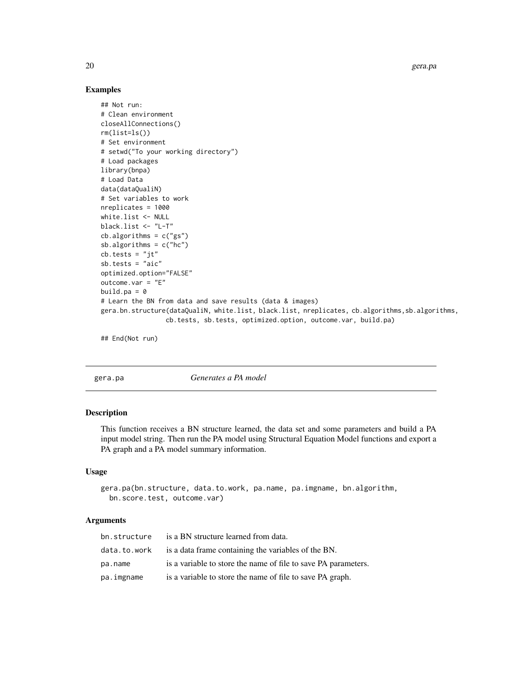20 gera.pa

#### Examples

```
## Not run:
# Clean environment
closeAllConnections()
rm(list=ls())
# Set environment
# setwd("To your working directory")
# Load packages
library(bnpa)
# Load Data
data(dataQualiN)
# Set variables to work
nreplicates = 1000
white.list <- NULL
black.list <- "L-T"
cb.algorithms = c("gs")sb.algorithms = c("hc")
cb.tests = "jt"sb.tests = "aic"optimized.option="FALSE"
outcome.var = "E"
build.pa = \theta# Learn the BN from data and save results (data & images)
gera.bn.structure(dataQualiN, white.list, black.list, nreplicates, cb.algorithms,sb.algorithms,
                 cb.tests, sb.tests, optimized.option, outcome.var, build.pa)
```
## End(Not run)

gera.pa *Generates a PA model*

# Description

This function receives a BN structure learned, the data set and some parameters and build a PA input model string. Then run the PA model using Structural Equation Model functions and export a PA graph and a PA model summary information.

#### Usage

```
gera.pa(bn.structure, data.to.work, pa.name, pa.imgname, bn.algorithm,
 bn.score.test, outcome.var)
```
# Arguments

| bn.structure | is a BN structure learned from data.                           |
|--------------|----------------------------------------------------------------|
| data.to.work | is a data frame containing the variables of the BN.            |
| pa.name      | is a variable to store the name of file to save PA parameters. |
| pa.imgname   | is a variable to store the name of file to save PA graph.      |

<span id="page-19-0"></span>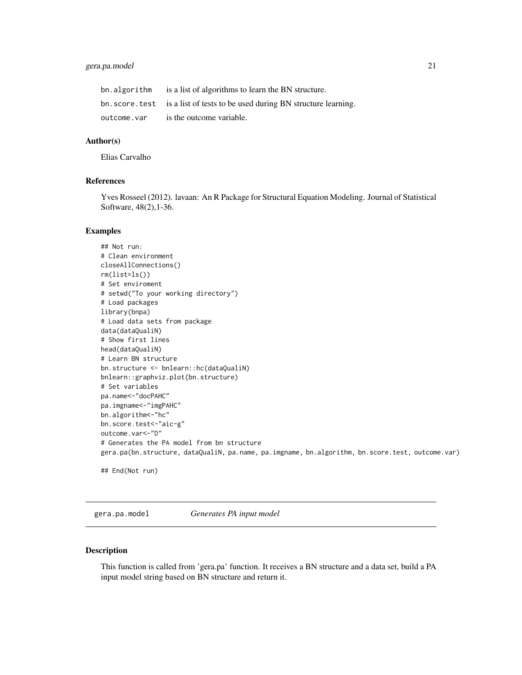# <span id="page-20-0"></span>gera.pa.model 21

| bn.algorithm | is a list of algorithms to learn the BN structure.                          |
|--------------|-----------------------------------------------------------------------------|
|              | bn. score. test is a list of tests to be used during BN structure learning. |
| outcome.var  | is the outcome variable.                                                    |

### Author(s)

Elias Carvalho

# References

Yves Rosseel (2012). lavaan: An R Package for Structural Equation Modeling. Journal of Statistical Software, 48(2),1-36.

#### Examples

```
## Not run:
# Clean environment
closeAllConnections()
rm(list=ls())
# Set enviroment
# setwd("To your working directory")
# Load packages
library(bnpa)
# Load data sets from package
data(dataQualiN)
# Show first lines
head(dataQualiN)
# Learn BN structure
bn.structure <- bnlearn::hc(dataQualiN)
bnlearn::graphviz.plot(bn.structure)
# Set variables
pa.name<-"docPAHC"
pa.imgname<-"imgPAHC"
bn.algorithm<-"hc"
bn.score.test<-"aic-g"
outcome.var<-"D"
# Generates the PA model from bn structure
gera.pa(bn.structure, dataQualiN, pa.name, pa.imgname, bn.algorithm, bn.score.test, outcome.var)
## End(Not run)
```
gera.pa.model *Generates PA input model*

#### Description

This function is called from 'gera.pa' function. It receives a BN structure and a data set, build a PA input model string based on BN structure and return it.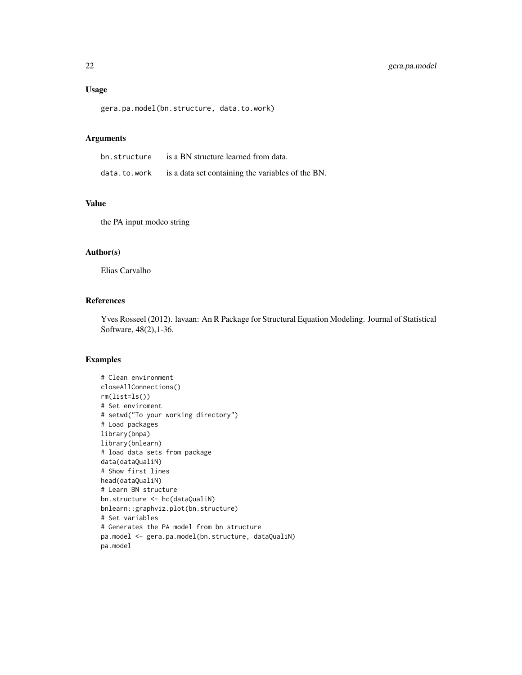# Usage

gera.pa.model(bn.structure, data.to.work)

# Arguments

| bn.structure | is a BN structure learned from data.              |
|--------------|---------------------------------------------------|
| data.to.work | is a data set containing the variables of the BN. |

# Value

the PA input modeo string

# Author(s)

Elias Carvalho

# References

Yves Rosseel (2012). lavaan: An R Package for Structural Equation Modeling. Journal of Statistical Software, 48(2),1-36.

```
# Clean environment
closeAllConnections()
rm(list=ls())
# Set enviroment
# setwd("To your working directory")
# Load packages
library(bnpa)
library(bnlearn)
# load data sets from package
data(dataQualiN)
# Show first lines
head(dataQualiN)
# Learn BN structure
bn.structure <- hc(dataQualiN)
bnlearn::graphviz.plot(bn.structure)
# Set variables
# Generates the PA model from bn structure
pa.model <- gera.pa.model(bn.structure, dataQualiN)
pa.model
```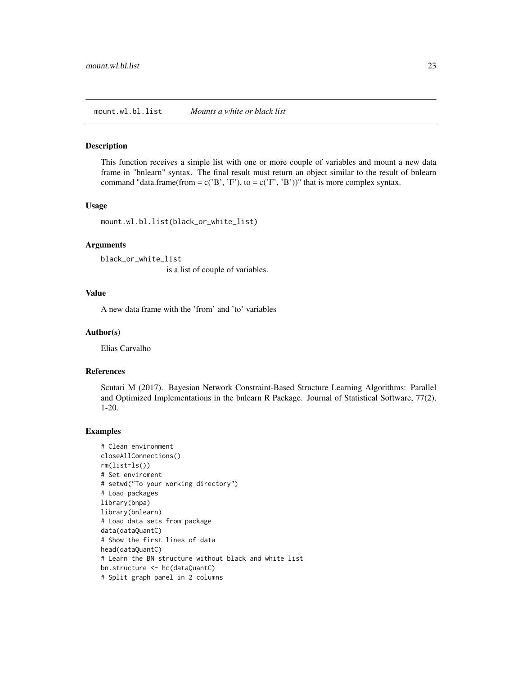#### <span id="page-22-0"></span>Description

This function receives a simple list with one or more couple of variables and mount a new data frame in "bnlearn" syntax. The final result must return an object similar to the result of bnlearn command "data.frame(from = c('B', 'F'), to = c('F', 'B'))" that is more complex syntax.

### Usage

mount.wl.bl.list(black\_or\_white\_list)

#### Arguments

black\_or\_white\_list

is a list of couple of variables.

# Value

A new data frame with the 'from' and 'to' variables

#### Author(s)

Elias Carvalho

#### References

Scutari M (2017). Bayesian Network Constraint-Based Structure Learning Algorithms: Parallel and Optimized Implementations in the bnlearn R Package. Journal of Statistical Software, 77(2), 1-20.

```
# Clean environment
closeAllConnections()
rm(list=ls())
# Set enviroment
# setwd("To your working directory")
# Load packages
library(bnpa)
library(bnlearn)
# Load data sets from package
data(dataQuantC)
# Show the first lines of data
head(dataQuantC)
# Learn the BN structure without black and white list
bn.structure <- hc(dataQuantC)
# Split graph panel in 2 columns
```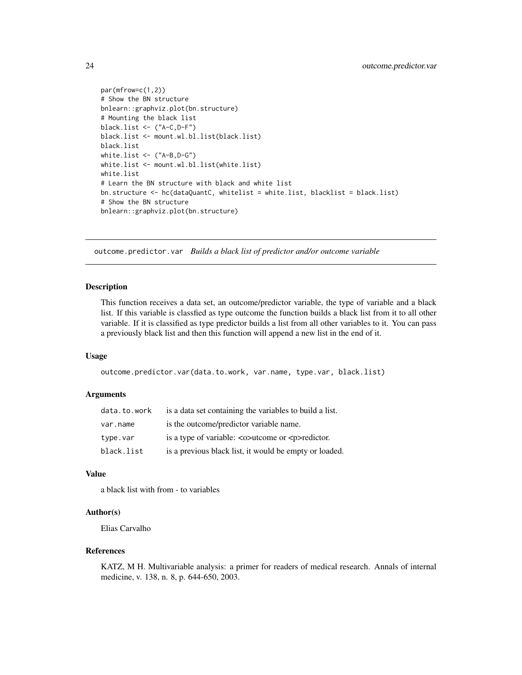```
par(mfrow=c(1,2))
# Show the BN structure
bnlearn::graphviz.plot(bn.structure)
# Mounting the black list
black.list <- ("A-C,D-F")
black.list <- mount.wl.bl.list(black.list)
black.list
white.list <- ("A-B,D-G")
white.list <- mount.wl.bl.list(white.list)
white.list
# Learn the BN structure with black and white list
bn.structure <- hc(dataQuantC, whitelist = white.list, blacklist = black.list)
# Show the BN structure
bnlearn::graphviz.plot(bn.structure)
```
outcome.predictor.var *Builds a black list of predictor and/or outcome variable*

#### Description

This function receives a data set, an outcome/predictor variable, the type of variable and a black list. If this variable is classfied as type outcome the function builds a black list from it to all other variable. If it is classified as type predictor builds a list from all other variables to it. You can pass a previously black list and then this function will append a new list in the end of it.

#### Usage

```
outcome.predictor.var(data.to.work, var.name, type.var, black.list)
```
# Arguments

| data.to.work | is a data set containing the variables to build a list.                                        |
|--------------|------------------------------------------------------------------------------------------------|
| var.name     | is the outcome/predictor variable name.                                                        |
| type.var     | is a type of variable: $\langle \circ \rangle$ at the set of $\langle \circ \rangle$ redictor. |
| black.list   | is a previous black list, it would be empty or loaded.                                         |

# Value

a black list with from - to variables

#### Author(s)

Elias Carvalho

#### References

KATZ, M H. Multivariable analysis: a primer for readers of medical research. Annals of internal medicine, v. 138, n. 8, p. 644-650, 2003.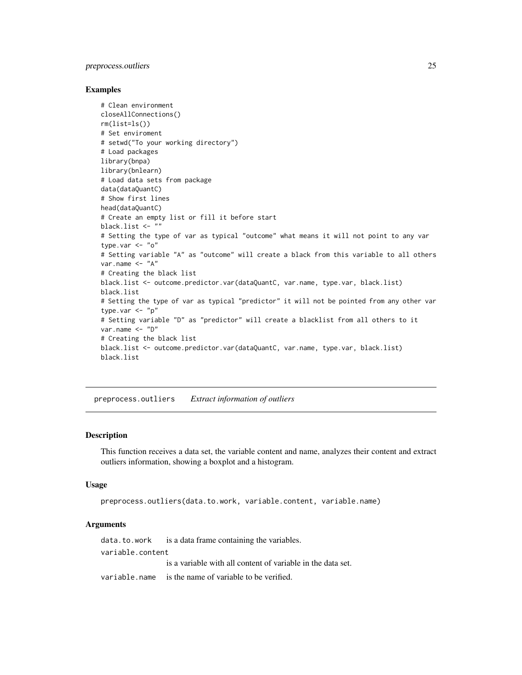# <span id="page-24-0"></span>preprocess.outliers 25

#### Examples

```
# Clean environment
closeAllConnections()
rm(list=ls())
# Set enviroment
# setwd("To your working directory")
# Load packages
library(bnpa)
library(bnlearn)
# Load data sets from package
data(dataQuantC)
# Show first lines
head(dataQuantC)
# Create an empty list or fill it before start
black.list <- ""
# Setting the type of var as typical "outcome" what means it will not point to any var
type.var <- "o"
# Setting variable "A" as "outcome" will create a black from this variable to all others
var.name <- "A"
# Creating the black list
black.list <- outcome.predictor.var(dataQuantC, var.name, type.var, black.list)
black.list
# Setting the type of var as typical "predictor" it will not be pointed from any other var
type.var \leq "p"
# Setting variable "D" as "predictor" will create a blacklist from all others to it
var.name <- "D"
# Creating the black list
black.list <- outcome.predictor.var(dataQuantC, var.name, type.var, black.list)
black.list
```
preprocess.outliers *Extract information of outliers*

# Description

This function receives a data set, the variable content and name, analyzes their content and extract outliers information, showing a boxplot and a histogram.

#### Usage

```
preprocess.outliers(data.to.work, variable.content, variable.name)
```
#### Arguments

data.to.work is a data frame containing the variables. variable.content is a variable with all content of variable in the data set. variable.name is the name of variable to be verified.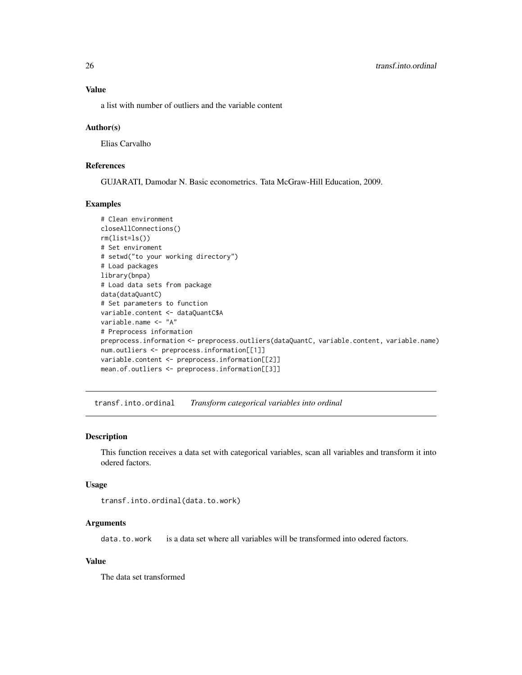<span id="page-25-0"></span>a list with number of outliers and the variable content

#### Author(s)

Elias Carvalho

#### References

GUJARATI, Damodar N. Basic econometrics. Tata McGraw-Hill Education, 2009.

#### Examples

```
# Clean environment
closeAllConnections()
rm(list=ls())
# Set enviroment
# setwd("to your working directory")
# Load packages
library(bnpa)
# Load data sets from package
data(dataQuantC)
# Set parameters to function
variable.content <- dataQuantC$A
variable.name <- "A"
# Preprocess information
preprocess.information <- preprocess.outliers(dataQuantC, variable.content, variable.name)
num.outliers <- preprocess.information[[1]]
variable.content <- preprocess.information[[2]]
mean.of.outliers <- preprocess.information[[3]]
```
transf.into.ordinal *Transform categorical variables into ordinal*

# Description

This function receives a data set with categorical variables, scan all variables and transform it into odered factors.

#### Usage

```
transf.into.ordinal(data.to.work)
```
# Arguments

data.to.work is a data set where all variables will be transformed into odered factors.

# Value

The data set transformed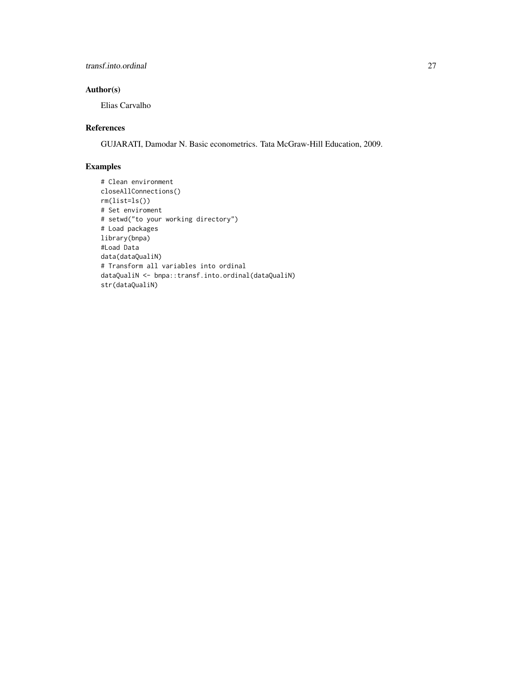# transf.into.ordinal 27

# Author(s)

Elias Carvalho

# References

GUJARATI, Damodar N. Basic econometrics. Tata McGraw-Hill Education, 2009.

```
# Clean environment
closeAllConnections()
rm(list=ls())
# Set enviroment
# setwd("to your working directory")
# Load packages
library(bnpa)
#Load Data
data(dataQualiN)
# Transform all variables into ordinal
dataQualiN <- bnpa::transf.into.ordinal(dataQualiN)
str(dataQualiN)
```